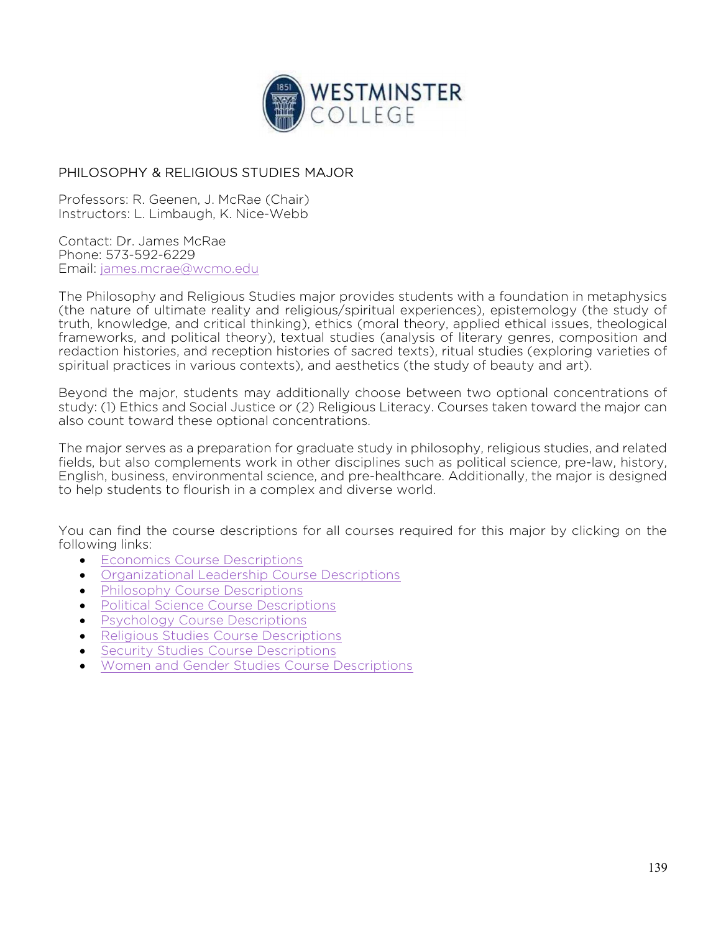

## PHILOSOPHY & RELIGIOUS STUDIES MAJOR

Professors: R. Geenen, J. McRae (Chair) Instructors: L. Limbaugh, K. Nice-Webb

Contact: Dr. James McRae Phone: 573-592-6229 Email: james.mcrae@wcmo.edu

The Philosophy and Religious Studies major provides students with a foundation in metaphysics (the nature of ultimate reality and religious/spiritual experiences), epistemology (the study of truth, knowledge, and critical thinking), ethics (moral theory, applied ethical issues, theological frameworks, and political theory), textual studies (analysis of literary genres, composition and redaction histories, and reception histories of sacred texts), ritual studies (exploring varieties of spiritual practices in various contexts), and aesthetics (the study of beauty and art).

Beyond the major, students may additionally choose between two optional concentrations of study: (1) Ethics and Social Justice or (2) Religious Literacy. Courses taken toward the major can also count toward these optional concentrations.

The major serves as a preparation for graduate study in philosophy, religious studies, and related fields, but also complements work in other disciplines such as political science, pre-law, history, English, business, environmental science, and pre-healthcare. Additionally, the major is designed to help students to flourish in a complex and diverse world.

You can find the course descriptions for all courses required for this major by clicking on the following links:

- **Economics Course Descriptions**
- Organizational Leadership Course Descriptions
- Philosophy Course Descriptions
- Political Science Course Descriptions
- Psychology Course Descriptions
- **•** Religious Studies Course Descriptions
- **Security Studies Course Descriptions**
- Women and Gender Studies Course Descriptions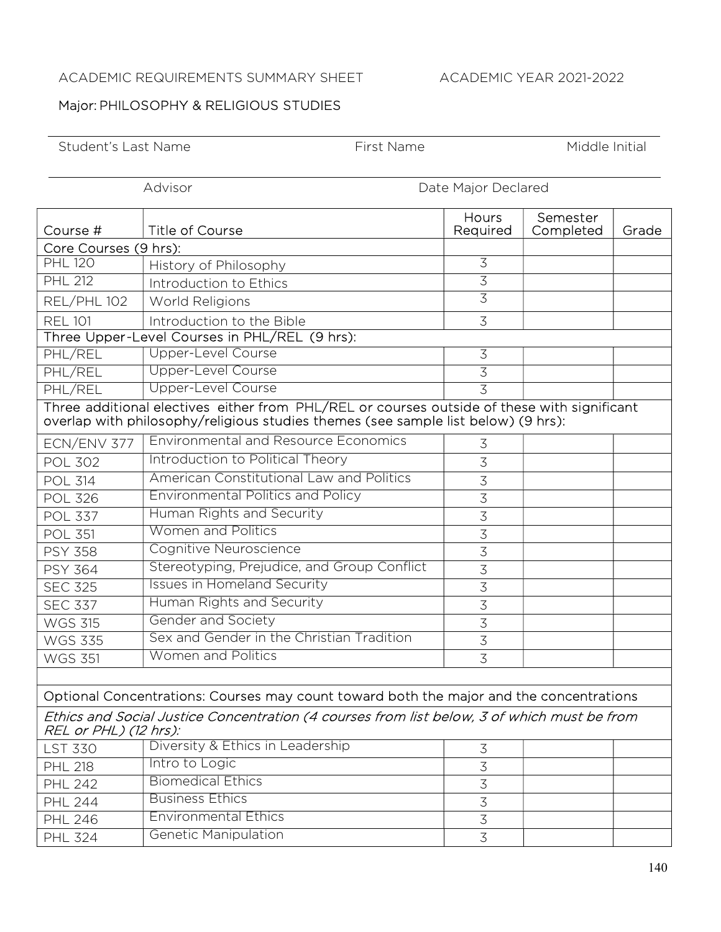## ACADEMIC REQUIREMENTS SUMMARY SHEET ACADEMIC YEAR 2021-2022

## Major: PHILOSOPHY & RELIGIOUS STUDIES

Student's Last Name Tirst Name First Name Middle Initial

Advisor **Date Major Declared** 

| Course #                                                                                                                                                                         | Title of Course                             | Hours<br>Required | Semester<br>Completed | Grade |  |  |  |
|----------------------------------------------------------------------------------------------------------------------------------------------------------------------------------|---------------------------------------------|-------------------|-----------------------|-------|--|--|--|
| Core Courses (9 hrs):                                                                                                                                                            |                                             |                   |                       |       |  |  |  |
| <b>PHL 120</b>                                                                                                                                                                   | History of Philosophy                       | $\overline{3}$    |                       |       |  |  |  |
| <b>PHL 212</b>                                                                                                                                                                   | Introduction to Ethics                      | 3                 |                       |       |  |  |  |
| REL/PHL 102                                                                                                                                                                      | World Religions                             | $\overline{3}$    |                       |       |  |  |  |
| <b>REL 101</b>                                                                                                                                                                   | Introduction to the Bible                   | 3                 |                       |       |  |  |  |
| Three Upper-Level Courses in PHL/REL (9 hrs):                                                                                                                                    |                                             |                   |                       |       |  |  |  |
| PHL/REL                                                                                                                                                                          | Upper-Level Course                          | $\mathfrak{Z}$    |                       |       |  |  |  |
| PHL/REL                                                                                                                                                                          | Upper-Level Course                          | $\overline{3}$    |                       |       |  |  |  |
| PHL/REL                                                                                                                                                                          | Upper-Level Course                          | $\overline{3}$    |                       |       |  |  |  |
| Three additional electives either from PHL/REL or courses outside of these with significant<br>overlap with philosophy/religious studies themes (see sample list below) (9 hrs): |                                             |                   |                       |       |  |  |  |
| ECN/ENV 377                                                                                                                                                                      | <b>Environmental and Resource Economics</b> | 3                 |                       |       |  |  |  |
| <b>POL 302</b>                                                                                                                                                                   | Introduction to Political Theory            | 3                 |                       |       |  |  |  |
| <b>POL 314</b>                                                                                                                                                                   | American Constitutional Law and Politics    | $\overline{3}$    |                       |       |  |  |  |
| <b>POL 326</b>                                                                                                                                                                   | <b>Environmental Politics and Policy</b>    | $\overline{3}$    |                       |       |  |  |  |
| <b>POL 337</b>                                                                                                                                                                   | Human Rights and Security                   | $\overline{3}$    |                       |       |  |  |  |
| <b>POL 351</b>                                                                                                                                                                   | <b>Women and Politics</b>                   | $\overline{3}$    |                       |       |  |  |  |
| <b>PSY 358</b>                                                                                                                                                                   | Cognitive Neuroscience                      | $\overline{3}$    |                       |       |  |  |  |
| <b>PSY 364</b>                                                                                                                                                                   | Stereotyping, Prejudice, and Group Conflict | $\overline{3}$    |                       |       |  |  |  |
| <b>SEC 325</b>                                                                                                                                                                   | <b>Issues in Homeland Security</b>          | $\overline{3}$    |                       |       |  |  |  |
| <b>SEC 337</b>                                                                                                                                                                   | Human Rights and Security                   | $\overline{3}$    |                       |       |  |  |  |
| <b>WGS 315</b>                                                                                                                                                                   | <b>Gender and Society</b>                   | $\overline{3}$    |                       |       |  |  |  |
| <b>WGS 335</b>                                                                                                                                                                   | Sex and Gender in the Christian Tradition   | $\overline{3}$    |                       |       |  |  |  |
| <b>WGS 351</b>                                                                                                                                                                   | Women and Politics                          | 3                 |                       |       |  |  |  |
|                                                                                                                                                                                  |                                             |                   |                       |       |  |  |  |
| Optional Concentrations: Courses may count toward both the major and the concentrations                                                                                          |                                             |                   |                       |       |  |  |  |
| Ethics and Social Justice Concentration (4 courses from list below, 3 of which must be from<br>REL or PHL) (12 hrs):                                                             |                                             |                   |                       |       |  |  |  |
| <b>LST 330</b>                                                                                                                                                                   | Diversity & Ethics in Leadership            | $\mathfrak{Z}$    |                       |       |  |  |  |
| <b>PHL 218</b>                                                                                                                                                                   | Intro to Logic                              | 3                 |                       |       |  |  |  |
| <b>PHL 242</b>                                                                                                                                                                   | <b>Biomedical Ethics</b>                    | $\overline{3}$    |                       |       |  |  |  |
| <b>PHL 244</b>                                                                                                                                                                   | <b>Business Ethics</b>                      | $\overline{3}$    |                       |       |  |  |  |
| <b>PHL 246</b>                                                                                                                                                                   | <b>Environmental Ethics</b>                 | $\overline{3}$    |                       |       |  |  |  |
| <b>PHL 324</b>                                                                                                                                                                   | <b>Genetic Manipulation</b>                 | $\overline{3}$    |                       |       |  |  |  |